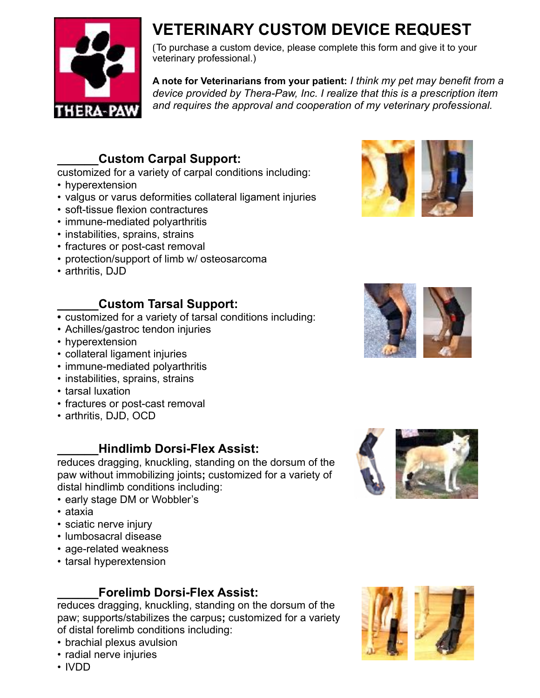

# **VETERINARY CUSTOM DEVICE REQUEST**

(To purchase a custom device, please complete this form and give it to your veterinary professional.)

**A note for Veterinarians from your patient:** *I think my pet may benefit from a device provided by Thera-Paw, Inc. I realize that this is a prescription item and requires the approval and cooperation of my veterinary professional.*

## **\_\_\_\_\_\_Custom Carpal Support:**

- customized for a variety of carpal conditions including:
- hyperextension
- valgus or varus deformities collateral ligament injuries
- soft-tissue flexion contractures
- immune-mediated polyarthritis
- instabilities, sprains, strains
- fractures or post-cast removal
- protection/support of limb w/ osteosarcoma
- arthritis, DJD

### **\_\_\_\_\_\_Custom Tarsal Support:**

- **•** customized for a variety of tarsal conditions including:
- Achilles/gastroc tendon injuries
- hyperextension
- collateral ligament injuries
- immune-mediated polyarthritis
- instabilities, sprains, strains
- tarsal luxation
- fractures or post-cast removal
- arthritis, DJD, OCD

#### **\_\_\_\_\_\_Hindlimb Dorsi-Flex Assist:**

reduces dragging, knuckling, standing on the dorsum of the paw without immobilizing joints**;** customized for a variety of distal hindlimb conditions including:

- early stage DM or Wobbler's
- ataxia
- sciatic nerve injury
- lumbosacral disease
- age-related weakness
- tarsal hyperextension

### **\_\_\_\_\_\_Forelimb Dorsi-Flex Assist:**

reduces dragging, knuckling, standing on the dorsum of the paw; supports/stabilizes the carpus**;** customized for a variety of distal forelimb conditions including:

- brachial plexus avulsion
- radial nerve injuries